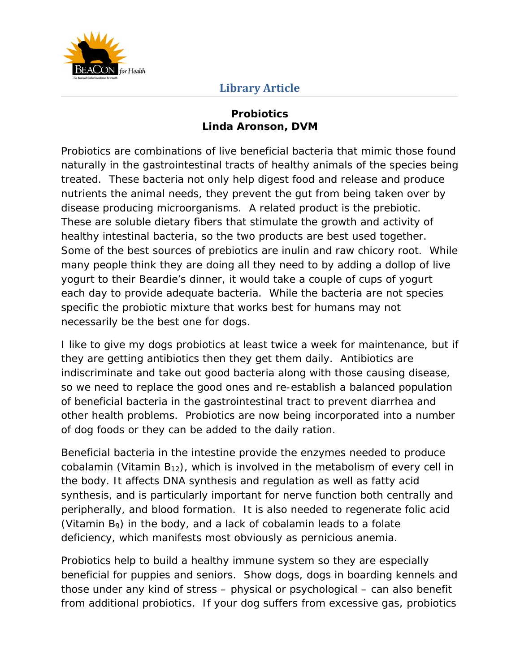

## **Library Article**

## **Probiotics Linda Aronson, DVM**

Probiotics are combinations of live beneficial bacteria that mimic those found naturally in the gastrointestinal tracts of healthy animals of the species being treated. These bacteria not only help digest food and release and produce nutrients the animal needs, they prevent the gut from being taken over by disease producing microorganisms. A related product is the prebiotic. These are soluble dietary fibers that stimulate the growth and activity of healthy intestinal bacteria, so the two products are best used together. Some of the best sources of prebiotics are inulin and raw chicory root. While many people think they are doing all they need to by adding a dollop of live yogurt to their Beardie's dinner, it would take a couple of cups of yogurt each day to provide adequate bacteria. While the bacteria are not species specific the probiotic mixture that works best for humans may not necessarily be the best one for dogs.

I like to give my dogs probiotics at least twice a week for maintenance, but if they are getting antibiotics then they get them daily. Antibiotics are indiscriminate and take out good bacteria along with those causing disease, so we need to replace the good ones and re-establish a balanced population of beneficial bacteria in the gastrointestinal tract to prevent diarrhea and other health problems. Probiotics are now being incorporated into a number of dog foods or they can be added to the daily ration.

Beneficial bacteria in the intestine provide the enzymes needed to produce cobalamin (Vitamin  $B_{12}$ ), which is involved in the metabolism of every cell in the body. It affects DNA synthesis and regulation as well as fatty acid synthesis, and is particularly important for nerve function both centrally and peripherally, and blood formation. It is also needed to regenerate folic acid (Vitamin  $B_9$ ) in the body, and a lack of cobalamin leads to a folate deficiency, which manifests most obviously as pernicious anemia.

Probiotics help to build a healthy immune system so they are especially beneficial for puppies and seniors. Show dogs, dogs in boarding kennels and those under any kind of stress – physical or psychological – can also benefit from additional probiotics. If your dog suffers from excessive gas, probiotics